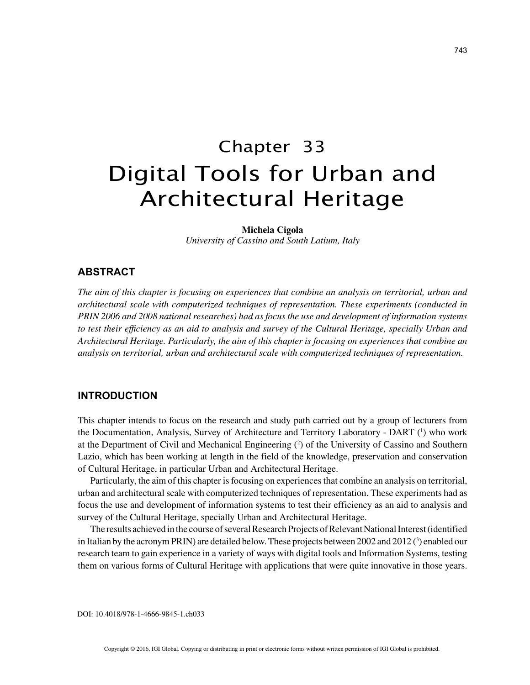# Chapter 33 Digital Tools for Urban and Architectural Heritage

**Michela Cigola**

*University of Cassino and South Latium, Italy*

## **ABSTRACT**

*The aim of this chapter is focusing on experiences that combine an analysis on territorial, urban and architectural scale with computerized techniques of representation. These experiments (conducted in PRIN 2006 and 2008 national researches) had as focus the use and development of information systems to test their efficiency as an aid to analysis and survey of the Cultural Heritage, specially Urban and Architectural Heritage. Particularly, the aim of this chapter is focusing on experiences that combine an analysis on territorial, urban and architectural scale with computerized techniques of representation.*

## **INTRODUCTION**

This chapter intends to focus on the research and study path carried out by a group of lecturers from the Documentation, Analysis, Survey of Architecture and Territory Laboratory - DART (1) who work at the Department of Civil and Mechanical Engineering (2 ) of the University of Cassino and Southern Lazio, which has been working at length in the field of the knowledge, preservation and conservation of Cultural Heritage, in particular Urban and Architectural Heritage.

Particularly, the aim of this chapter is focusing on experiences that combine an analysis on territorial, urban and architectural scale with computerized techniques of representation. These experiments had as focus the use and development of information systems to test their efficiency as an aid to analysis and survey of the Cultural Heritage, specially Urban and Architectural Heritage.

The results achieved in the course of several Research Projects of Relevant National Interest (identified in Italian by the acronym PRIN) are detailed below. These projects between 2002 and 2012 ( $^3$ ) enabled our research team to gain experience in a variety of ways with digital tools and Information Systems, testing them on various forms of Cultural Heritage with applications that were quite innovative in those years.

DOI: 10.4018/978-1-4666-9845-1.ch033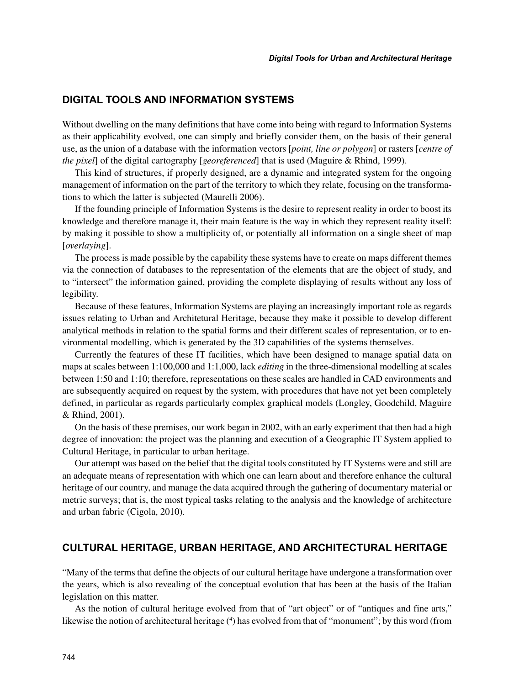# **DIGITAL TOOLS AND INFORMATION SYSTEMS**

Without dwelling on the many definitions that have come into being with regard to Information Systems as their applicability evolved, one can simply and briefly consider them, on the basis of their general use, as the union of a database with the information vectors [*point, line or polygon*] or rasters [*centre of the pixel*] of the digital cartography [*georeferenced*] that is used (Maguire & Rhind, 1999).

This kind of structures, if properly designed, are a dynamic and integrated system for the ongoing management of information on the part of the territory to which they relate, focusing on the transformations to which the latter is subjected (Maurelli 2006).

If the founding principle of Information Systems is the desire to represent reality in order to boost its knowledge and therefore manage it, their main feature is the way in which they represent reality itself: by making it possible to show a multiplicity of, or potentially all information on a single sheet of map [*overlaying*].

The process is made possible by the capability these systems have to create on maps different themes via the connection of databases to the representation of the elements that are the object of study, and to "intersect" the information gained, providing the complete displaying of results without any loss of legibility.

Because of these features, Information Systems are playing an increasingly important role as regards issues relating to Urban and Architetural Heritage, because they make it possible to develop different analytical methods in relation to the spatial forms and their different scales of representation, or to environmental modelling, which is generated by the 3D capabilities of the systems themselves.

Currently the features of these IT facilities, which have been designed to manage spatial data on maps at scales between 1:100,000 and 1:1,000, lack *editing* in the three-dimensional modelling at scales between 1:50 and 1:10; therefore, representations on these scales are handled in CAD environments and are subsequently acquired on request by the system, with procedures that have not yet been completely defined, in particular as regards particularly complex graphical models (Longley, Goodchild, Maguire & Rhind, 2001).

On the basis of these premises, our work began in 2002, with an early experiment that then had a high degree of innovation: the project was the planning and execution of a Geographic IT System applied to Cultural Heritage, in particular to urban heritage.

Our attempt was based on the belief that the digital tools constituted by IT Systems were and still are an adequate means of representation with which one can learn about and therefore enhance the cultural heritage of our country, and manage the data acquired through the gathering of documentary material or metric surveys; that is, the most typical tasks relating to the analysis and the knowledge of architecture and urban fabric (Cigola, 2010).

## **CULTURAL HERITAGE, URBAN HERITAGE, AND ARCHITECTURAL HERITAGE**

"Many of the terms that define the objects of our cultural heritage have undergone a transformation over the years, which is also revealing of the conceptual evolution that has been at the basis of the Italian legislation on this matter.

As the notion of cultural heritage evolved from that of "art object" or of "antiques and fine arts," likewise the notion of architectural heritage (<sup>4</sup>) has evolved from that of "monument"; by this word (from